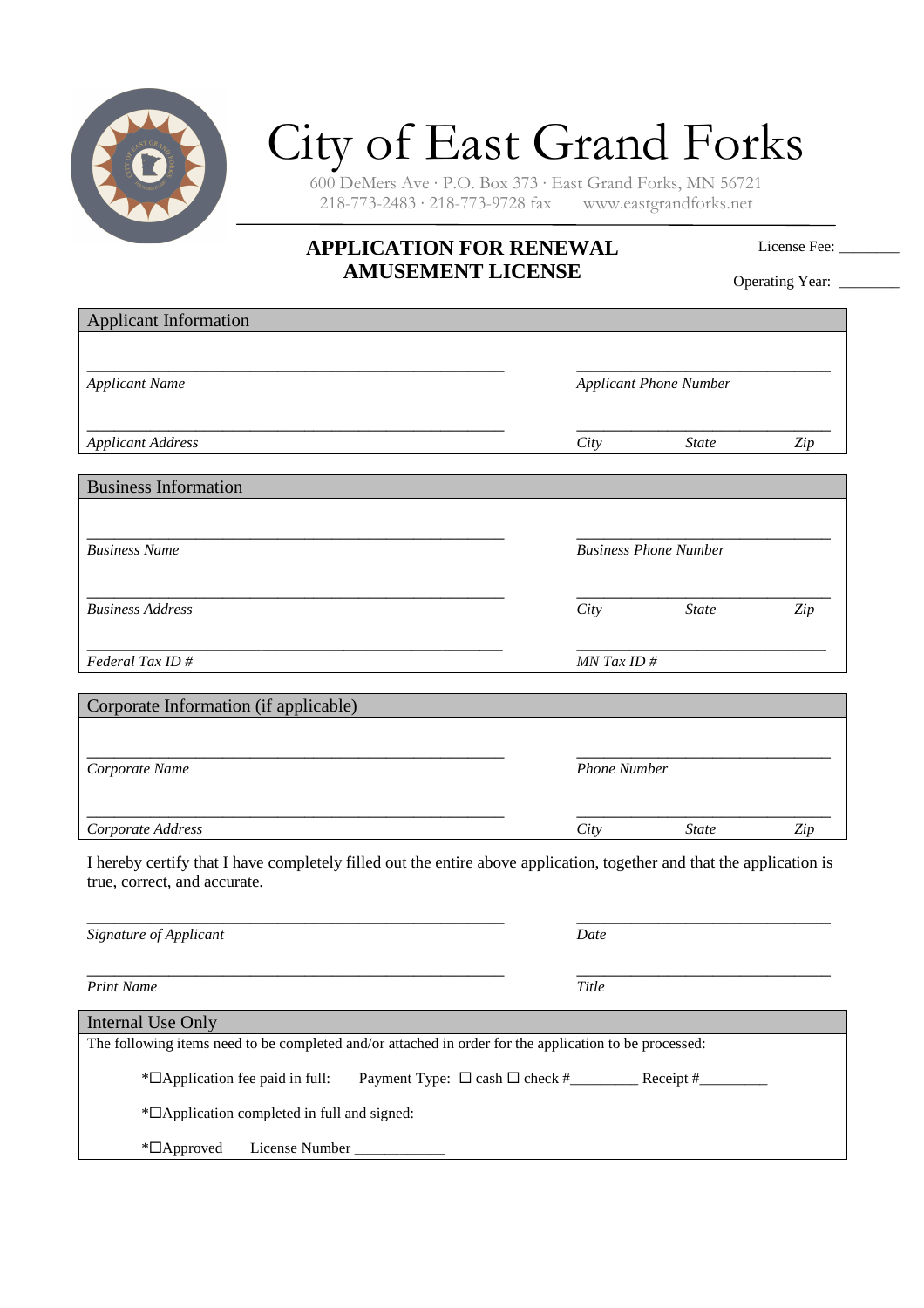

## City of East Grand Forks

600 DeMers Ave · P.O. Box 373 · East Grand Forks, MN 56721  $218-773-2483 \cdot 218-773-9728$  fax

## **APPLICATION FOR RENEWAL AMUSEMENT LICENSE**

License Fee:

Operating Year: \_\_\_\_\_\_\_\_

| <b>Applicant Information</b>                                                                                          |                     |                               |     |
|-----------------------------------------------------------------------------------------------------------------------|---------------------|-------------------------------|-----|
|                                                                                                                       |                     |                               |     |
|                                                                                                                       |                     |                               |     |
| <b>Applicant Name</b>                                                                                                 |                     | <b>Applicant Phone Number</b> |     |
|                                                                                                                       |                     |                               |     |
| <b>Applicant Address</b>                                                                                              | City                | <b>State</b>                  | Zip |
|                                                                                                                       |                     |                               |     |
| <b>Business Information</b>                                                                                           |                     |                               |     |
|                                                                                                                       |                     |                               |     |
|                                                                                                                       |                     |                               |     |
| <b>Business Name</b>                                                                                                  |                     | <b>Business Phone Number</b>  |     |
|                                                                                                                       |                     |                               |     |
| <b>Business Address</b>                                                                                               | City                | <b>State</b>                  | Zip |
|                                                                                                                       |                     |                               |     |
| Federal Tax ID#                                                                                                       | MN Tax ID#          |                               |     |
|                                                                                                                       |                     |                               |     |
| Corporate Information (if applicable)                                                                                 |                     |                               |     |
|                                                                                                                       |                     |                               |     |
|                                                                                                                       | <b>Phone Number</b> |                               |     |
| Corporate Name                                                                                                        |                     |                               |     |
|                                                                                                                       |                     |                               |     |
| Corporate Address                                                                                                     | City                | <b>State</b>                  | Zip |
| I hereby certify that I have completely filled out the entire above application, together and that the application is |                     |                               |     |
| true, correct, and accurate.                                                                                          |                     |                               |     |
|                                                                                                                       |                     |                               |     |
| Signature of Applicant                                                                                                | Date                |                               |     |
|                                                                                                                       |                     |                               |     |
| <b>Print Name</b>                                                                                                     | Title               |                               |     |
|                                                                                                                       |                     |                               |     |
| <b>Internal Use Only</b>                                                                                              |                     |                               |     |
| The following items need to be completed and/or attached in order for the application to be processed:                |                     |                               |     |
| * <sup>D</sup> Application fee paid in full:                                                                          |                     |                               |     |
| * <sup>D</sup> Application completed in full and signed:                                                              |                     |                               |     |
|                                                                                                                       |                     |                               |     |
| *□Approved<br>License Number                                                                                          |                     |                               |     |